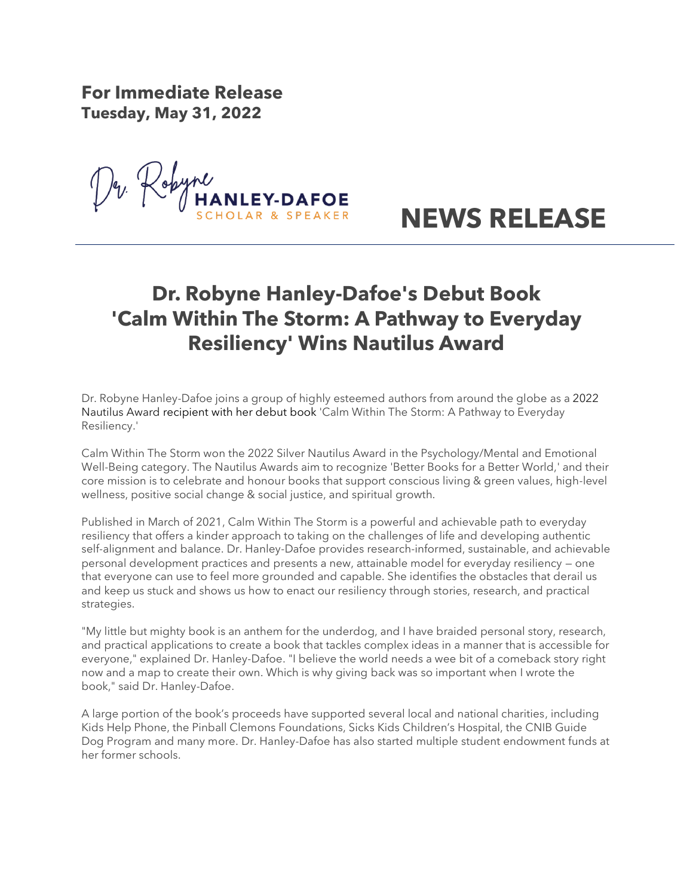**For Immediate Release Tuesday, May 31, 2022** 

Lopyne **LEY-DAFOE** 



## **Dr. Robyne Hanley-Dafoe's Debut Book 'Calm Within The Storm: A Pathway to Everyday Resiliency' Wins Nautilus Award**

Dr. Robyne Hanley-Dafoe joins a group of highly esteemed authors from around the globe as a 2022 Nautilus Award recipient with her debut book 'Calm Within The Storm: A Pathway to Everyday Resiliency.'

Calm Within The Storm won the 2022 Silver Nautilus Award in the Psychology/Mental and Emotional Well-Being category. The Nautilus Awards aim to recognize 'Better Books for a Better World,' and their core mission is to celebrate and honour books that support conscious living & green values, high-level wellness, positive social change & social justice, and spiritual growth.

Published in March of 2021, Calm Within The Storm is a powerful and achievable path to everyday resiliency that offers a kinder approach to taking on the challenges of life and developing authentic self-alignment and balance. Dr. Hanley-Dafoe provides research-informed, sustainable, and achievable personal development practices and presents a new, attainable model for everyday resiliency — one that everyone can use to feel more grounded and capable. She identifies the obstacles that derail us and keep us stuck and shows us how to enact our resiliency through stories, research, and practical strategies.

"My little but mighty book is an anthem for the underdog, and I have braided personal story, research, and practical applications to create a book that tackles complex ideas in a manner that is accessible for everyone," explained Dr. Hanley-Dafoe. "I believe the world needs a wee bit of a comeback story right now and a map to create their own. Which is why giving back was so important when I wrote the book," said Dr. Hanley-Dafoe.

A large portion of the book's proceeds have supported several local and national charities, including Kids Help Phone, the Pinball Clemons Foundations, Sicks Kids Children's Hospital, the CNIB Guide Dog Program and many more. Dr. Hanley-Dafoe has also started multiple student endowment funds at her former schools.